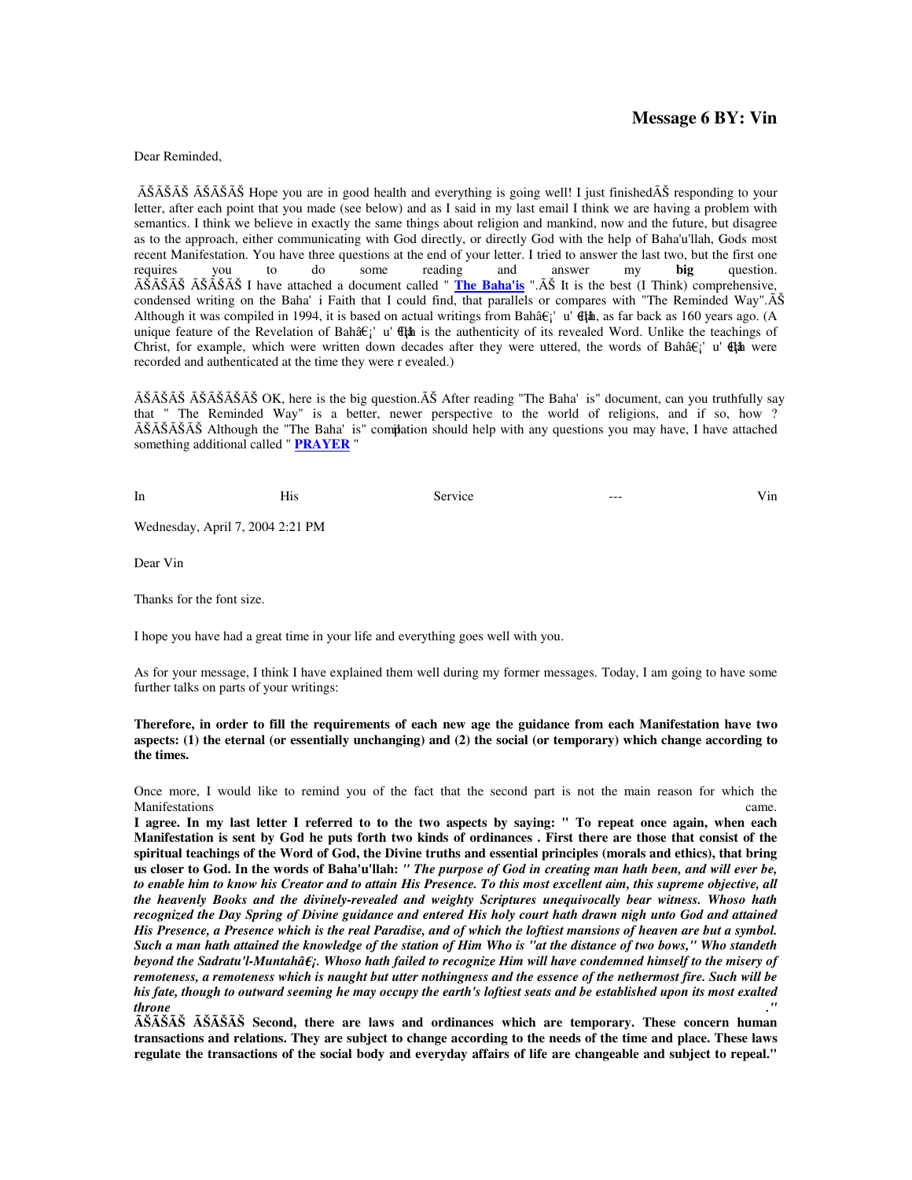# **Message 6 BY: Vin**

Dear Reminded,

ÊÊÊ ÊÊÊ Hope you are in good health and everything is going well! I just finishedÊ responding to your letter, after each point that you made (see below) and as I said in my last email I think we are having a problem with semantics. I think we believe in exactly the same things about religion and mankind, now and the future, but disagree as to the approach, either communicating with God directly, or directly God with the help of Baha'u'llah, Gods most recent Manifestation. You have three questions at the end of your letter. I tried to answer the last two, but the first one<br>requires you to do some reading and answer my **big** question. requires you to do some reading and answer my **big** question. ÊÊÊ ÊÊÊ I have attached a document called " **The Baha'is** ".Ê It is the best (I Think) comprehensive, condensed writing on the Baha' i Faith that I could find, that parallels or compares with "The Reminded Way". $\tilde{A}\tilde{S}$ Although it was compiled in 1994, it is based on actual writings from Bahâ $\epsilon$ <sup>'</sup> u'  $\theta$ <sup>h</sup>, as far back as 160 years ago. (A unique feature of the Revelation of Bahâ $\hat{\epsilon}$ <sup>'</sup> u'  $\hat{\epsilon}$  is the authenticity of its revealed Word. Unlike the teachings of Christ, for example, which were written down decades after they were uttered, the words of Bahâ $\epsilon$ <sup>'</sup> u'  $\epsilon$ <sup>t</sup> $\alpha$  were recorded and authenticated at the time they were r evealed.)

 $\tilde{A}\tilde{S}\tilde{A}\tilde{S}\tilde{A}\tilde{S}\tilde{A}\tilde{S}\tilde{S}$  OK, here is the big question. $\tilde{A}\tilde{S}$  After reading "The Baha' is" document, can you truthfully say that " The Reminded Way" is a better, newer perspective to the world of religions, and if so, how ?  $\tilde{A}\tilde{S}\tilde{A}\tilde{S}\tilde{A}\tilde{S}$  Although the "The Baha' is" comidation should help with any questions you may have, I have attached something additional called " **PRAYER** "

| In | $-1$<br>riis. | Service | $---$ | V 1n |
|----|---------------|---------|-------|------|
|    |               |         |       |      |

Wednesday, April 7, 2004 2:21 PM

Dear Vin

Thanks for the font size.

I hope you have had a great time in your life and everything goes well with you.

As for your message, I think I have explained them well during my former messages. Today, I am going to have some further talks on parts of your writings:

# **Therefore, in order to fill the requirements of each new age the guidance from each Manifestation have two aspects: (1) the eternal (or essentially unchanging) and (2) the social (or temporary) which change according to the times.**

Once more, I would like to remind you of the fact that the second part is not the main reason for which the Manifestations came.

**I agree. In my last letter I referred to to the two aspects by saying: " To repeat once again, when each Manifestation is sent by God he puts forth two kinds of ordinances . First there are those that consist of the spiritual teachings of the Word of God, the Divine truths and essential principles (morals and ethics), that bring us closer to God. In the words of Baha'u'llah:** *" The purpose of God in creating man hath been, and will ever be, to enable him to know his Creator and to attain His Presence. To this most excellent aim, this supreme objective, all the heavenly Books and the divinely-revealed and weighty Scriptures unequivocally bear witness. Whoso hath*  recognized the Day Spring of Divine guidance and entered His holy court hath drawn nigh unto God and attained *His Presence, a Presence which is the real Paradise, and of which the loftiest mansions of heaven are but a symbol. Such a man hath attained the knowledge of the station of Him Who is "at the distance of two bows," Who standeth beyond the Sadratu'l-Muntahâ¡. Whoso hath failed to recognize Him will have condemned himself to the misery of remoteness, a remoteness which is naught but utter nothingness and the essence of the nethermost fire. Such will be his fate, though to outward seeming he may occupy the earth's loftiest seats and be established upon its most exalted throne ."* 

**ÊÊÊ ÊÊÊ Second, there are laws and ordinances which are temporary. These concern human transactions and relations. They are subject to change according to the needs of the time and place. These laws regulate the transactions of the social body and everyday affairs of life are changeable and subject to repeal."**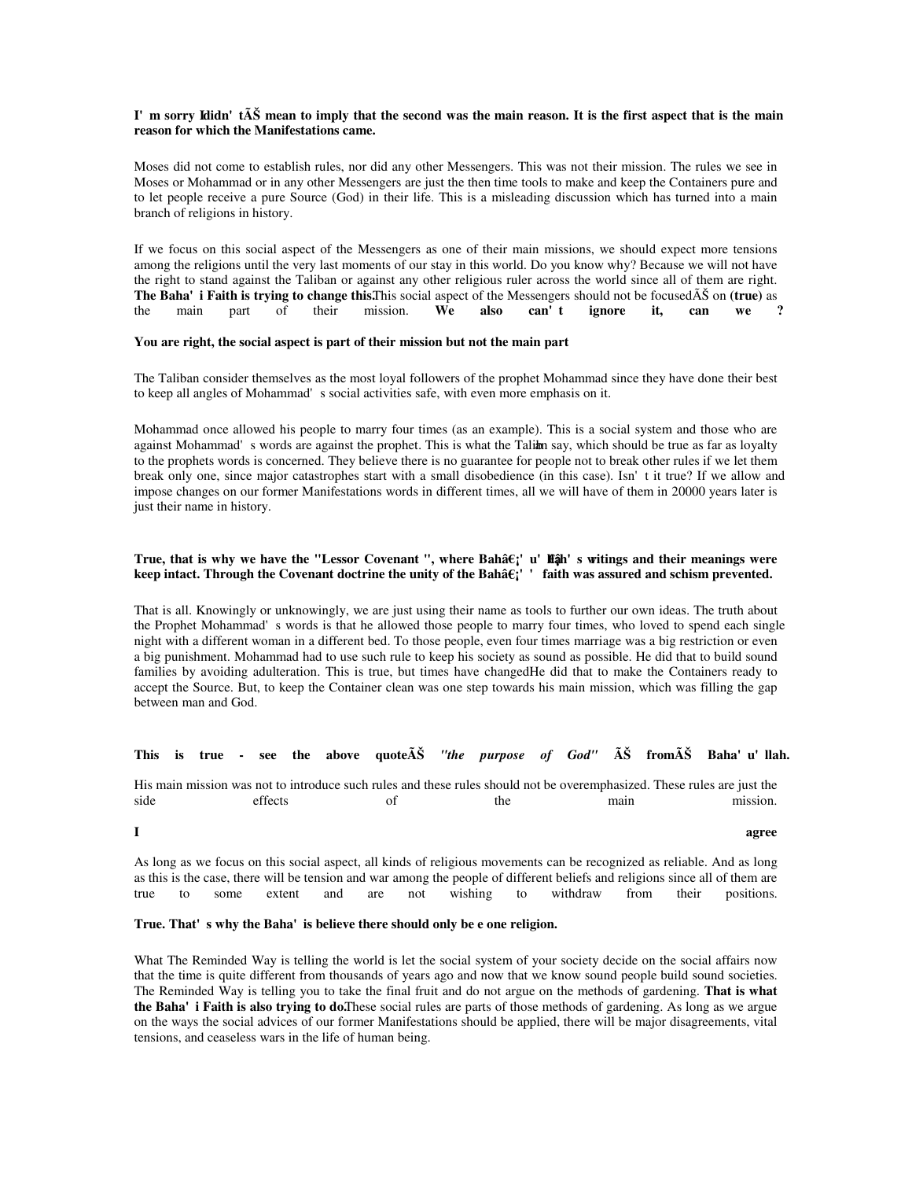#### I'm sorry Ididn't**Ê** mean to imply that the second was the main reason. It is the first aspect that is the main **reason for which the Manifestations came.**

Moses did not come to establish rules, nor did any other Messengers. This was not their mission. The rules we see in Moses or Mohammad or in any other Messengers are just the then time tools to make and keep the Containers pure and to let people receive a pure Source (God) in their life. This is a misleading discussion which has turned into a main branch of religions in history.

If we focus on this social aspect of the Messengers as one of their main missions, we should expect more tensions among the religions until the very last moments of our stay in this world. Do you know why? Because we will not have the right to stand against the Taliban or against any other religious ruler across the world since all of them are right. **The Baha' i Faith is trying to change this. This social aspect of the Messengers should not be focused** $\tilde{A} \tilde{S}$  **on <b>(true)** as the main part of their mission. We also can't ignore it, can we a the main part of their mission. **We also can't ignore it, can we ?** 

# **You are right, the social aspect is part of their mission but not the main part**

The Taliban consider themselves as the most loyal followers of the prophet Mohammad since they have done their best to keep all angles of Mohammad's social activities safe, with even more emphasis on it.

Mohammad once allowed his people to marry four times (as an example). This is a social system and those who are against Mohammad's words are against the prophet. This is what the Taliam say, which should be true as far as loyalty to the prophets words is concerned. They believe there is no guarantee for people not to break other rules if we let them break only one, since major catastrophes start with a small disobedience (in this case). Isn't it true? If we allow and impose changes on our former Manifestations words in different times, all we will have of them in 20000 years later is just their name in history.

## True, that is why we have the "Lessor Covenant ", where Bahâ $\epsilon$ <sub>i</sub>' u' **liậ**h' s witings and their meanings were keep intact. Through the Covenant doctrine the unity of the Bahâ $\varepsilon$ ;' ' faith was assured and schism prevented.

That is all. Knowingly or unknowingly, we are just using their name as tools to further our own ideas. The truth about the Prophet Mohammad's words is that he allowed those people to marry four times, who loved to spend each single night with a different woman in a different bed. To those people, even four times marriage was a big restriction or even a big punishment. Mohammad had to use such rule to keep his society as sound as possible. He did that to build sound families by avoiding adulteration. This is true, but times have changedHe did that to make the Containers ready to accept the Source. But, to keep the Container clean was one step towards his main mission, which was filling the gap between man and God.

## This is true - see the above quote $\tilde{A}\tilde{S}$  "the purpose of God"  $\tilde{A}\tilde{S}$  from $\tilde{A}\tilde{S}$  Baha'u'llah.

His main mission was not to introduce such rules and these rules should not be overemphasized. These rules are just the side effects of the main mission.

**I** agree

As long as we focus on this social aspect, all kinds of religious movements can be recognized as reliable. And as long as this is the case, there will be tension and war among the people of different beliefs and religions since all of them are true to some extent and are not wishing to withdraw from their positions.

# True. That's why the Baha' is believe there should only be e one religion.

What The Reminded Way is telling the world is let the social system of your society decide on the social affairs now that the time is quite different from thousands of years ago and now that we know sound people build sound societies. The Reminded Way is telling you to take the final fruit and do not argue on the methods of gardening. **That is what the Baha' i Faith is also trying to do.** These social rules are parts of those methods of gardening. As long as we argue on the ways the social advices of our former Manifestations should be applied, there will be major disagreements, vital tensions, and ceaseless wars in the life of human being.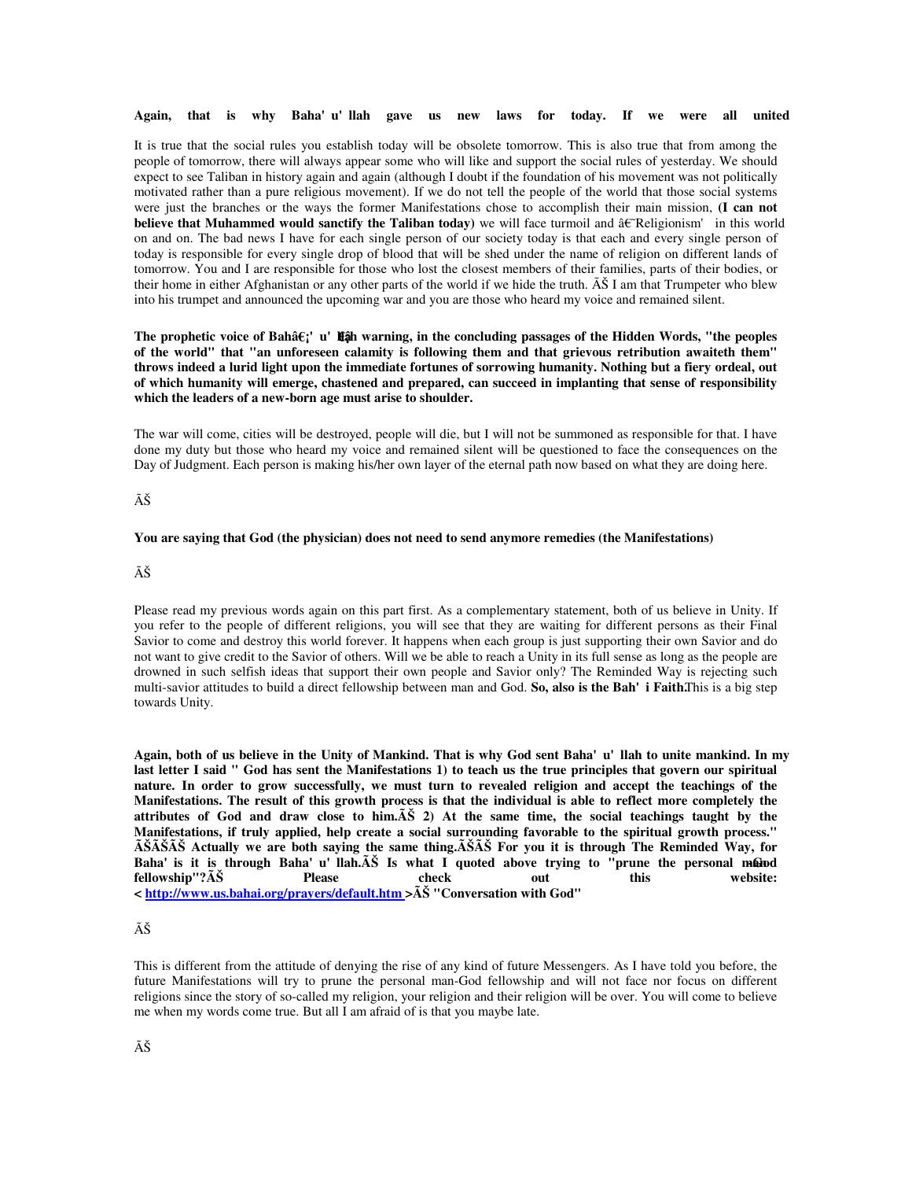**Again, that is why Baha'u'llah gave us new laws for today. If we were all united** 

It is true that the social rules you establish today will be obsolete tomorrow. This is also true that from among the people of tomorrow, there will always appear some who will like and support the social rules of yesterday. We should expect to see Taliban in history again and again (although I doubt if the foundation of his movement was not politically motivated rather than a pure religious movement). If we do not tell the people of the world that those social systems were just the branches or the ways the former Manifestations chose to accomplish their main mission, **(I can not believe that Muhammed would sanctify the Taliban today**) we will face turmoil and †Religionism' in this world on and on. The bad news I have for each single person of our society today is that each and every single person of today is responsible for every single drop of blood that will be shed under the name of religion on different lands of tomorrow. You and I are responsible for those who lost the closest members of their families, parts of their bodies, or their home in either Afghanistan or any other parts of the world if we hide the truth.  $\tilde{A} \tilde{S}$  I am that Trumpeter who blew into his trumpet and announced the upcoming war and you are those who heard my voice and remained silent.

## **The prophetic voice of Bahâ¡'u'llâ¡h warning, in the concluding passages of the Hidden Words, "the peoples of the world" that "an unforeseen calamity is following them and that grievous retribution awaiteth them" throws indeed a lurid light upon the immediate fortunes of sorrowing humanity. Nothing but a fiery ordeal, out of which humanity will emerge, chastened and prepared, can succeed in implanting that sense of responsibility which the leaders of a new-born age must arise to shoulder.**

The war will come, cities will be destroyed, people will die, but I will not be summoned as responsible for that. I have done my duty but those who heard my voice and remained silent will be questioned to face the consequences on the Day of Judgment. Each person is making his/her own layer of the eternal path now based on what they are doing here.

# Ê

#### **You are saying that God (the physician) does not need to send anymore remedies (the Manifestations)**

# Ê

Please read my previous words again on this part first. As a complementary statement, both of us believe in Unity. If you refer to the people of different religions, you will see that they are waiting for different persons as their Final Savior to come and destroy this world forever. It happens when each group is just supporting their own Savior and do not want to give credit to the Savior of others. Will we be able to reach a Unity in its full sense as long as the people are drowned in such selfish ideas that support their own people and Savior only? The Reminded Way is rejecting such multi-savior attitudes to build a direct fellowship between man and God. **So, also is the Bah'i Faith.** This is a big step towards Unity.

**Again, both of us believe in the Unity of Mankind. That is why God sent Baha'u'llah to unite mankind. In my last letter I said " God has sent the Manifestations 1) to teach us the true principles that govern our spiritual nature. In order to grow successfully, we must turn to revealed religion and accept the teachings of the Manifestations. The result of this growth process is that the individual is able to reflect more completely the attributes of God and draw close to him.Ê 2) At the same time, the social teachings taught by the Manifestations, if truly applied, help create a social surrounding favorable to the spiritual growth process." ÊÊÊ Actually we are both saying the same thing.ÊÊ For you it is through The Reminded Way, for Baha'is it is through Baha'u'llah.Ê Is what I quoted above trying to "prune the personal m-Ganod**  fellowship"? $\tilde{A} \tilde{S}$  Please check out this **< http://www.us.bahai.org/prayers/default.htm >Ê "Conversation with God"** 

#### Ê

This is different from the attitude of denying the rise of any kind of future Messengers. As I have told you before, the future Manifestations will try to prune the personal man-God fellowship and will not face nor focus on different religions since the story of so-called my religion, your religion and their religion will be over. You will come to believe me when my words come true. But all I am afraid of is that you maybe late.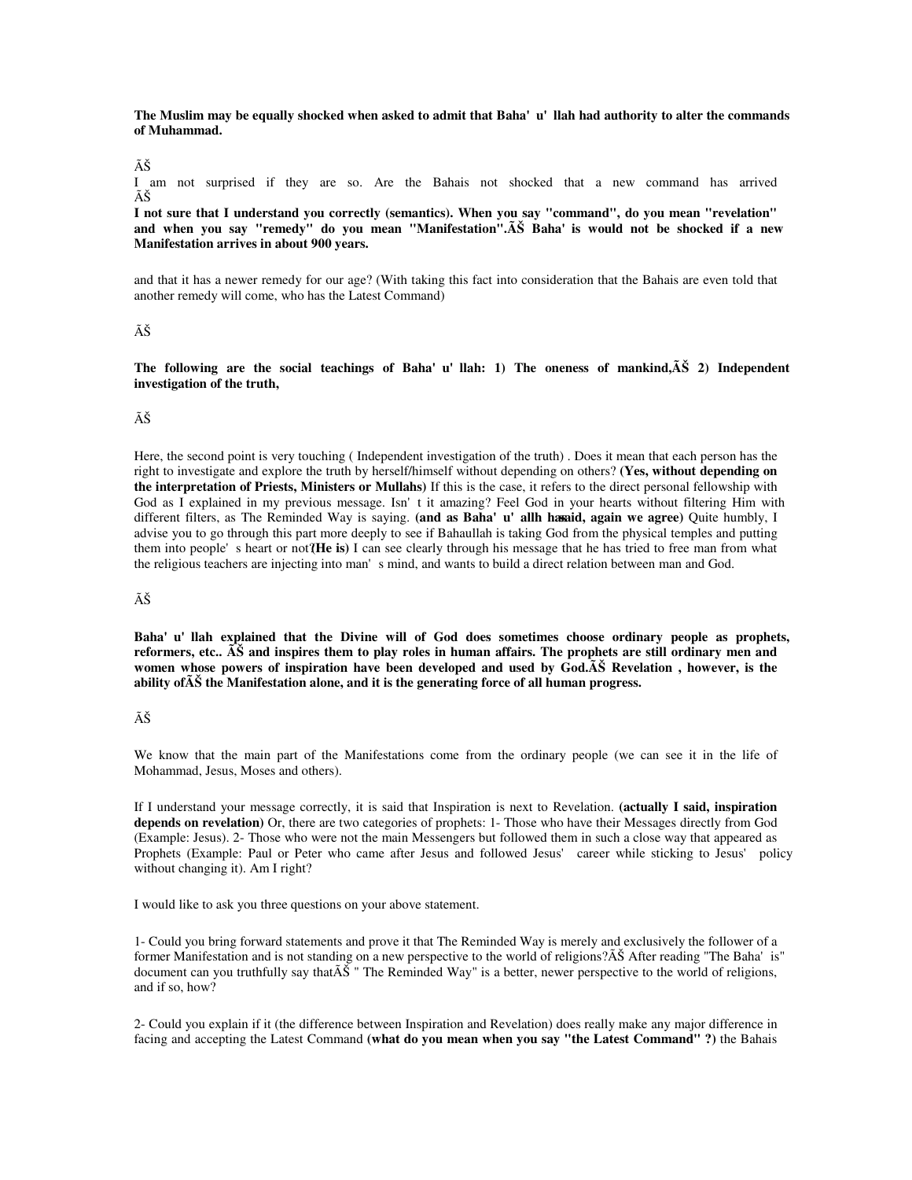#### The Muslim may be equally shocked when asked to admit that Baha'u'llah had authority to alter the commands **of Muhammad.**

#### Ê

I am not surprised if they are so. Are the Bahais not shocked that a new command has arrived Ê

**I not sure that I understand you correctly (semantics). When you say "command", do you mean "revelation" and when you say "remedy" do you mean "Manifestation".Ê Baha'is would not be shocked if a new Manifestation arrives in about 900 years.** 

and that it has a newer remedy for our age? (With taking this fact into consideration that the Bahais are even told that another remedy will come, who has the Latest Command)

## Ê

The following are the social teachings of Baha'u'llah: 1) The oneness of mankind, $\tilde{A}\tilde{S}$  2) Independent **investigation of the truth,** 

#### Ê

Here, the second point is very touching ( Independent investigation of the truth) . Does it mean that each person has the right to investigate and explore the truth by herself/himself without depending on others? **(Yes, without depending on the interpretation of Priests, Ministers or Mullahs)** If this is the case, it refers to the direct personal fellowship with God as I explained in my previous message. Isn't it amazing? Feel God in your hearts without filtering Him with different filters, as The Reminded Way is saying. (and as Baha'u' allh hasaid, again we agree) Quite humbly, I advise you to go through this part more deeply to see if Bahaullah is taking God from the physical temples and putting them into people's heart or not? **(He is)** I can see clearly through his message that he has tried to free man from what the religious teachers are injecting into man's mind, and wants to build a direct relation between man and God.

# Ê

**Baha'u'llah explained that the Divine will of God does sometimes choose ordinary people as prophets,**  reformers, etc..  $\tilde{A}\tilde{S}$  and inspires them to play roles in human affairs. The prophets are still ordinary men and women whose powers of inspiration have been developed and used by God.AS Revelation, however, is the **ability ofÊ the Manifestation alone, and it is the generating force of all human progress.** 

# Ê

We know that the main part of the Manifestations come from the ordinary people (we can see it in the life of Mohammad, Jesus, Moses and others).

If I understand your message correctly, it is said that Inspiration is next to Revelation. **(actually I said, inspiration depends on revelation)** Or, there are two categories of prophets: 1- Those who have their Messages directly from God (Example: Jesus). 2- Those who were not the main Messengers but followed them in such a close way that appeared as Prophets (Example: Paul or Peter who came after Jesus and followed Jesus' career while sticking to Jesus' policy without changing it). Am I right?

I would like to ask you three questions on your above statement.

1- Could you bring forward statements and prove it that The Reminded Way is merely and exclusively the follower of a former Manifestation and is not standing on a new perspective to the world of religions? $\tilde{A} \tilde{S}$  After reading "The Baha' is" document can you truthfully say that $\tilde{A}$  "The Reminded Way" is a better, newer perspective to the world of religions, and if so, how?

2- Could you explain if it (the difference between Inspiration and Revelation) does really make any major difference in facing and accepting the Latest Command **(what do you mean when you say "the Latest Command" ?)** the Bahais